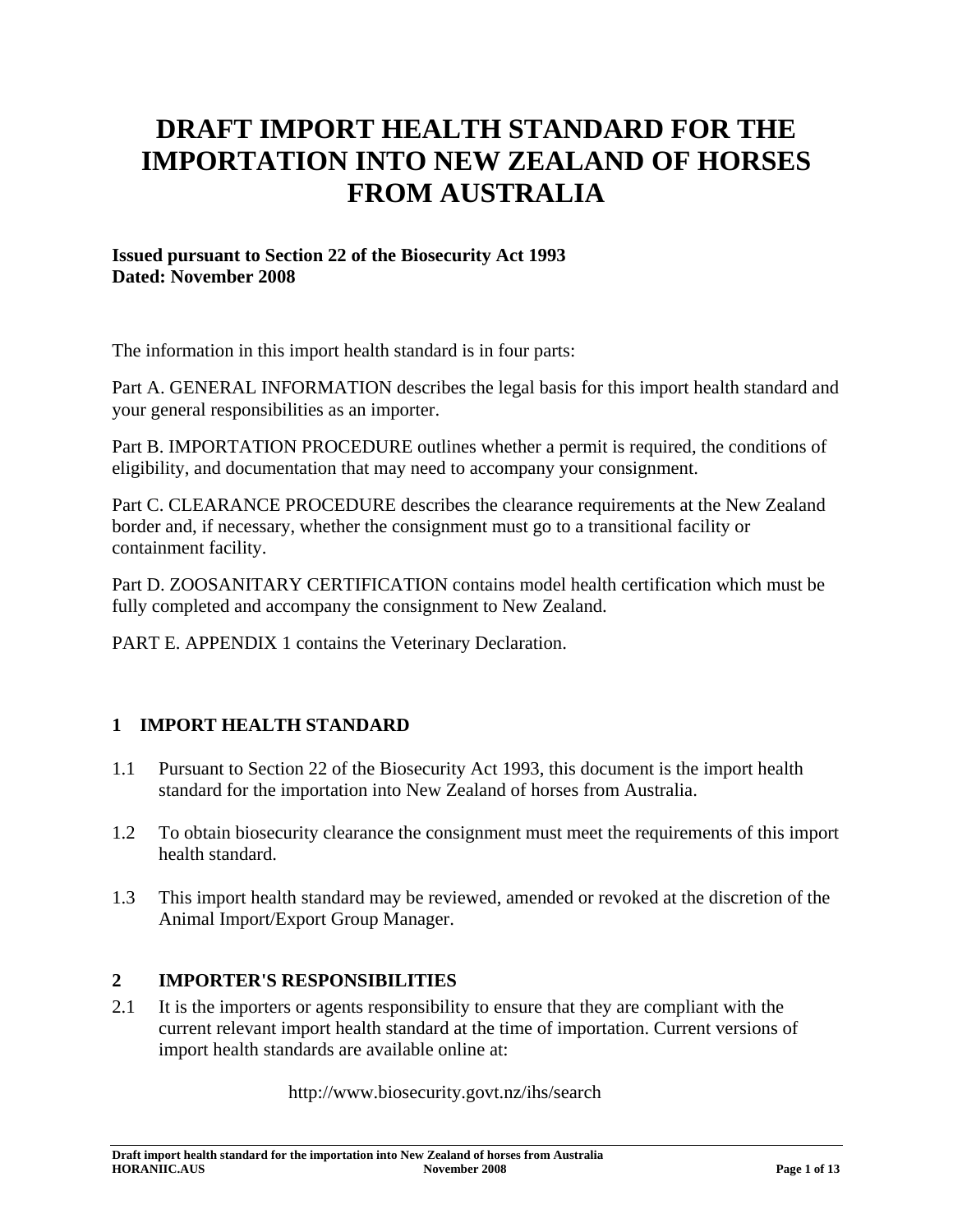# **DRAFT IMPORT HEALTH STANDARD FOR THE IMPORTATION INTO NEW ZEALAND OF HORSES FROM AUSTRALIA**

### **Issued pursuant to Section 22 of the Biosecurity Act 1993 Dated: November 2008**

The information in this import health standard is in four parts:

Part A. GENERAL INFORMATION describes the legal basis for this import health standard and your general responsibilities as an importer.

Part B. IMPORTATION PROCEDURE outlines whether a permit is required, the conditions of eligibility, and documentation that may need to accompany your consignment.

Part C. CLEARANCE PROCEDURE describes the clearance requirements at the New Zealand border and, if necessary, whether the consignment must go to a transitional facility or containment facility.

Part D. ZOOSANITARY CERTIFICATION contains model health certification which must be fully completed and accompany the consignment to New Zealand.

PART E. APPENDIX 1 contains the Veterinary Declaration.

### **1 IMPORT HEALTH STANDARD**

- 1.1 Pursuant to Section 22 of the Biosecurity Act 1993, this document is the import health standard for the importation into New Zealand of horses from Australia.
- 1.2 To obtain biosecurity clearance the consignment must meet the requirements of this import health standard.
- 1.3 This import health standard may be reviewed, amended or revoked at the discretion of the Animal Import/Export Group Manager.

### **2 IMPORTER'S RESPONSIBILITIES**

2.1 It is the importers or agents responsibility to ensure that they are compliant with the current relevant import health standard at the time of importation. Current versions of import health standards are available online at:

http://www.biosecurity.govt.nz/ihs/search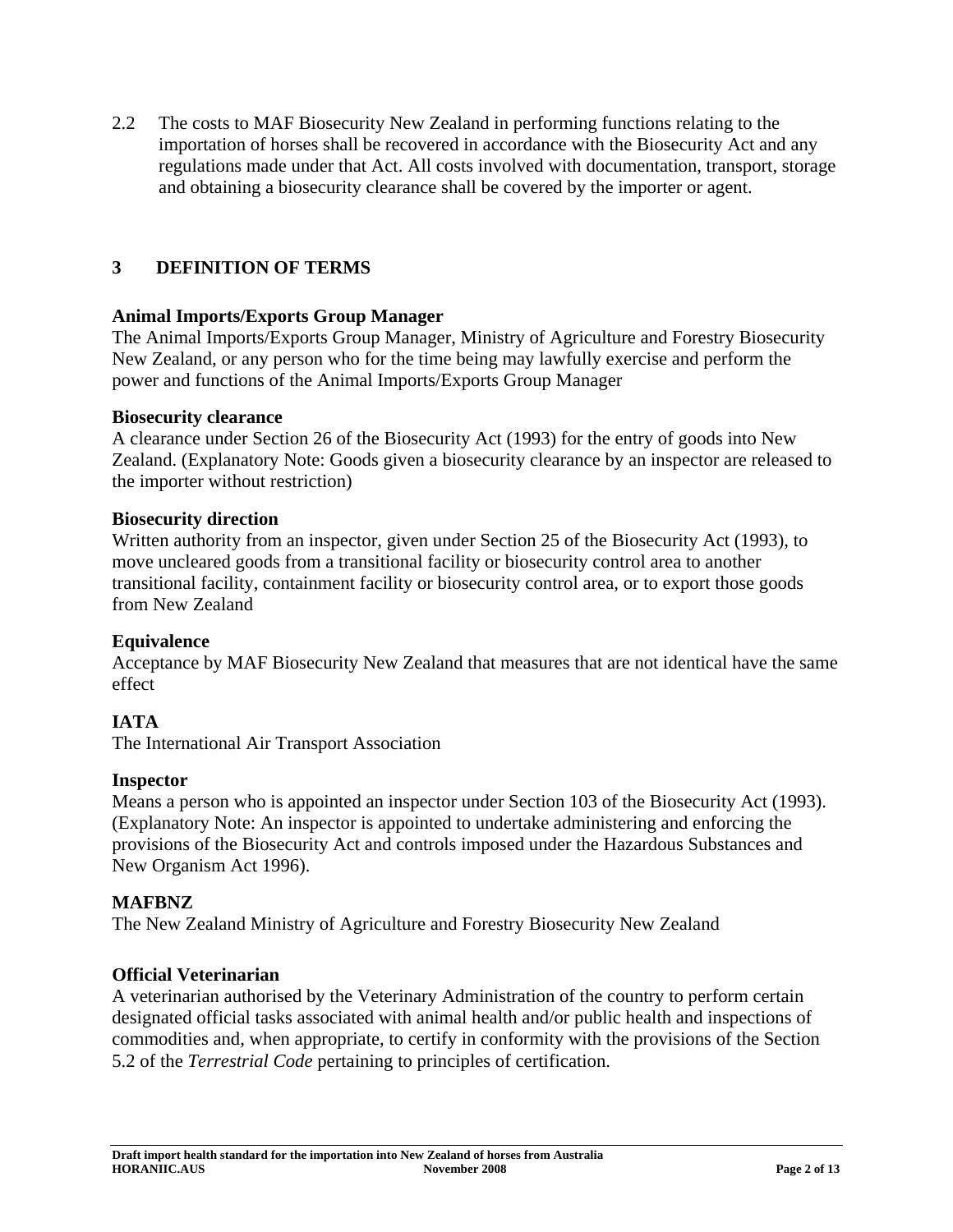2.2 The costs to MAF Biosecurity New Zealand in performing functions relating to the importation of horses shall be recovered in accordance with the Biosecurity Act and any regulations made under that Act. All costs involved with documentation, transport, storage and obtaining a biosecurity clearance shall be covered by the importer or agent.

### **3 DEFINITION OF TERMS**

### **Animal Imports/Exports Group Manager**

The Animal Imports/Exports Group Manager, Ministry of Agriculture and Forestry Biosecurity New Zealand, or any person who for the time being may lawfully exercise and perform the power and functions of the Animal Imports/Exports Group Manager

#### **Biosecurity clearance**

A clearance under Section 26 of the Biosecurity Act (1993) for the entry of goods into New Zealand. (Explanatory Note: Goods given a biosecurity clearance by an inspector are released to the importer without restriction)

#### **Biosecurity direction**

Written authority from an inspector, given under Section 25 of the Biosecurity Act (1993), to move uncleared goods from a transitional facility or biosecurity control area to another transitional facility, containment facility or biosecurity control area, or to export those goods from New Zealand

#### **Equivalence**

Acceptance by MAF Biosecurity New Zealand that measures that are not identical have the same effect

#### **IATA**

The International Air Transport Association

#### **Inspector**

Means a person who is appointed an inspector under Section 103 of the Biosecurity Act (1993). (Explanatory Note: An inspector is appointed to undertake administering and enforcing the provisions of the Biosecurity Act and controls imposed under the Hazardous Substances and New Organism Act 1996).

#### **MAFBNZ**

The New Zealand Ministry of Agriculture and Forestry Biosecurity New Zealand

#### **Official Veterinarian**

A veterinarian authorised by the Veterinary Administration of the country to perform certain designated official tasks associated with animal health and/or public health and inspections of commodities and, when appropriate, to certify in conformity with the provisions of the Section 5.2 of the *Terrestrial Code* pertaining to principles of certification.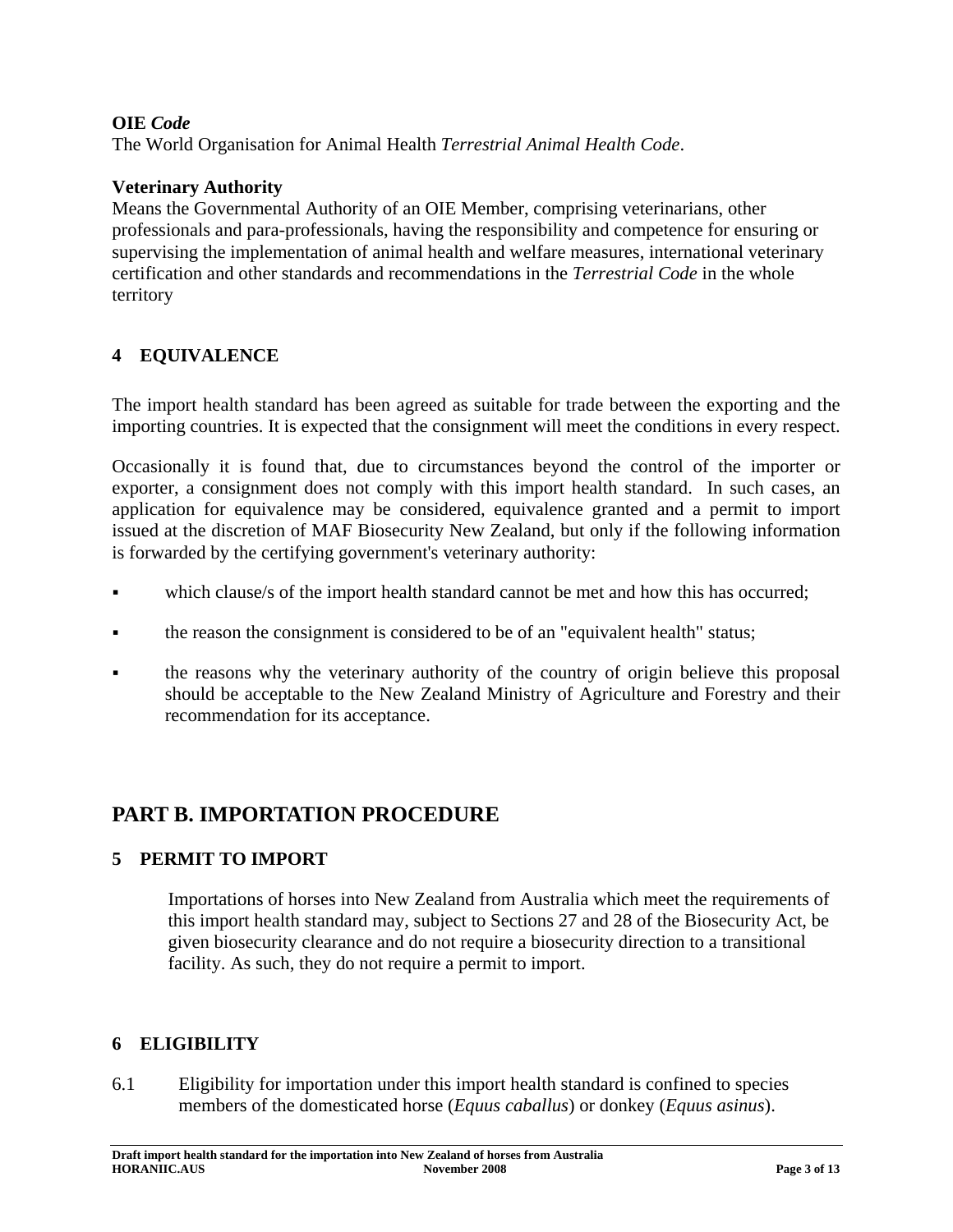### **OIE** *Code*

The World Organisation for Animal Health *Terrestrial Animal Health Code*.

### **Veterinary Authority**

Means the Governmental Authority of an OIE Member, comprising veterinarians, other professionals and para-professionals, having the responsibility and competence for ensuring or supervising the implementation of animal health and welfare measures, international veterinary certification and other standards and recommendations in the *Terrestrial Code* in the whole territory

### **4 EQUIVALENCE**

The import health standard has been agreed as suitable for trade between the exporting and the importing countries. It is expected that the consignment will meet the conditions in every respect.

Occasionally it is found that, due to circumstances beyond the control of the importer or exporter, a consignment does not comply with this import health standard. In such cases, an application for equivalence may be considered, equivalence granted and a permit to import issued at the discretion of MAF Biosecurity New Zealand, but only if the following information is forwarded by the certifying government's veterinary authority:

- which clause/s of the import health standard cannot be met and how this has occurred;
- the reason the consignment is considered to be of an "equivalent health" status;
- the reasons why the veterinary authority of the country of origin believe this proposal should be acceptable to the New Zealand Ministry of Agriculture and Forestry and their recommendation for its acceptance.

# **PART B. IMPORTATION PROCEDURE**

### **5 PERMIT TO IMPORT**

Importations of horses into New Zealand from Australia which meet the requirements of this import health standard may, subject to Sections 27 and 28 of the Biosecurity Act, be given biosecurity clearance and do not require a biosecurity direction to a transitional facility. As such, they do not require a permit to import.

#### **6 ELIGIBILITY**

6.1 Eligibility for importation under this import health standard is confined to species members of the domesticated horse (*Equus caballus*) or donkey (*Equus asinus*).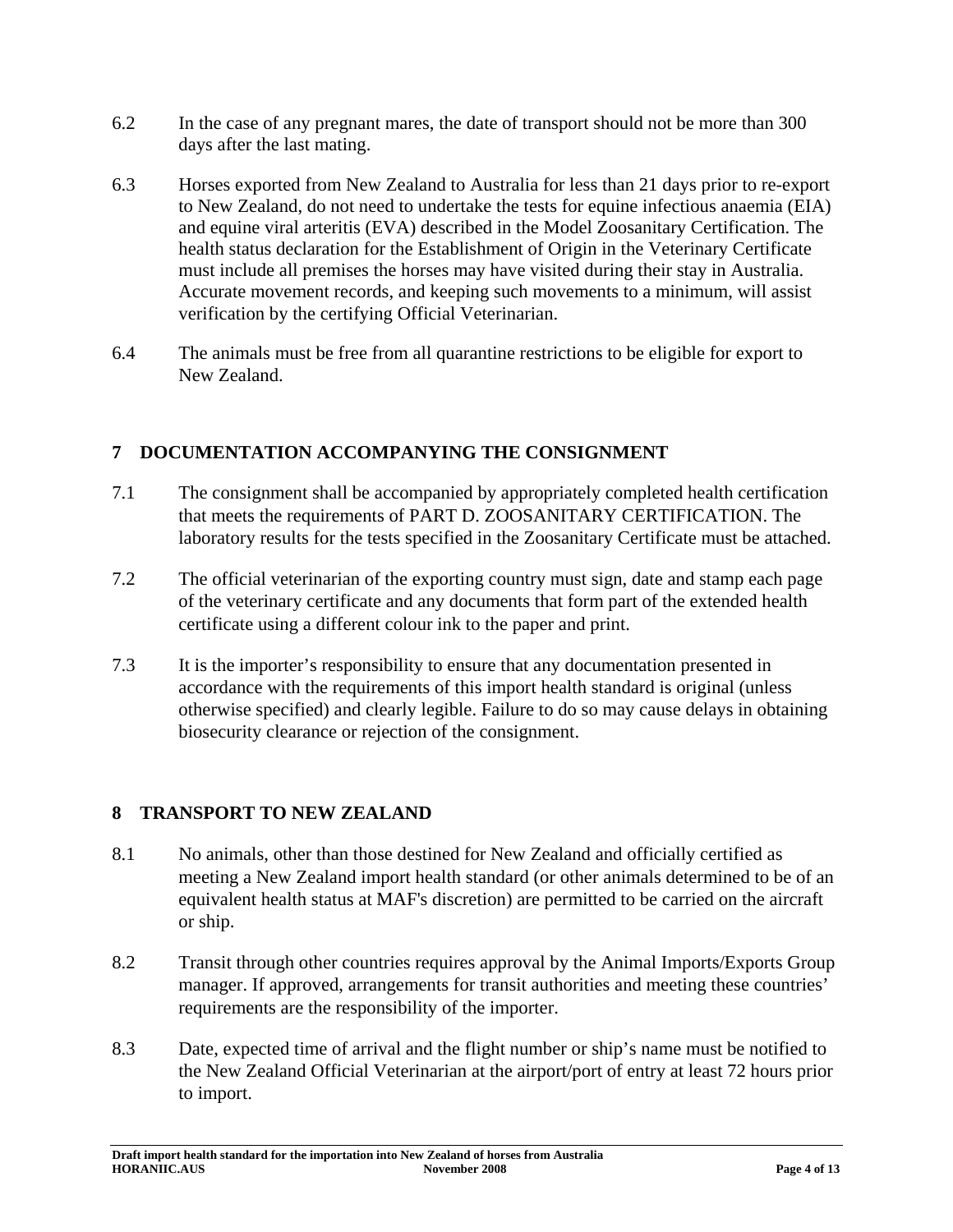- 6.2 In the case of any pregnant mares, the date of transport should not be more than 300 days after the last mating.
- 6.3 Horses exported from New Zealand to Australia for less than 21 days prior to re-export to New Zealand, do not need to undertake the tests for equine infectious anaemia (EIA) and equine viral arteritis (EVA) described in the Model Zoosanitary Certification. The health status declaration for the Establishment of Origin in the Veterinary Certificate must include all premises the horses may have visited during their stay in Australia. Accurate movement records, and keeping such movements to a minimum, will assist verification by the certifying Official Veterinarian.
- 6.4 The animals must be free from all quarantine restrictions to be eligible for export to New Zealand.

### **7 DOCUMENTATION ACCOMPANYING THE CONSIGNMENT**

- 7.1 The consignment shall be accompanied by appropriately completed health certification that meets the requirements of PART D. ZOOSANITARY CERTIFICATION. The laboratory results for the tests specified in the Zoosanitary Certificate must be attached.
- 7.2 The official veterinarian of the exporting country must sign, date and stamp each page of the veterinary certificate and any documents that form part of the extended health certificate using a different colour ink to the paper and print.
- 7.3 It is the importer's responsibility to ensure that any documentation presented in accordance with the requirements of this import health standard is original (unless otherwise specified) and clearly legible. Failure to do so may cause delays in obtaining biosecurity clearance or rejection of the consignment.

### **8 TRANSPORT TO NEW ZEALAND**

- 8.1 No animals, other than those destined for New Zealand and officially certified as meeting a New Zealand import health standard (or other animals determined to be of an equivalent health status at MAF's discretion) are permitted to be carried on the aircraft or ship.
- 8.2 Transit through other countries requires approval by the Animal Imports/Exports Group manager. If approved, arrangements for transit authorities and meeting these countries' requirements are the responsibility of the importer.
- 8.3 Date, expected time of arrival and the flight number or ship's name must be notified to the New Zealand Official Veterinarian at the airport/port of entry at least 72 hours prior to import.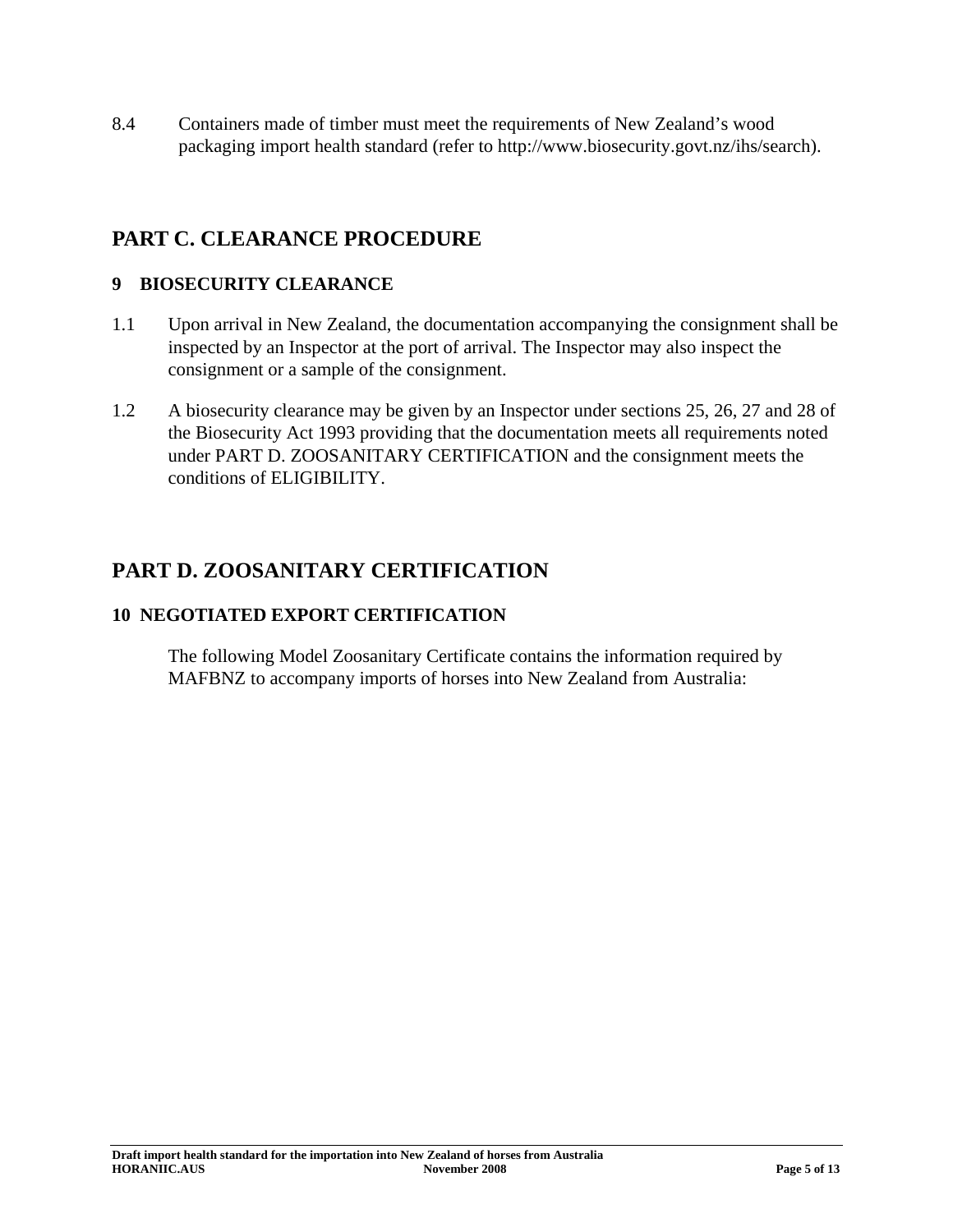8.4 Containers made of timber must meet the requirements of New Zealand's wood packaging import health standard (refer to http://www.biosecurity.govt.nz/ihs/search).

# **PART C. CLEARANCE PROCEDURE**

### **9 BIOSECURITY CLEARANCE**

- 1.1 Upon arrival in New Zealand, the documentation accompanying the consignment shall be inspected by an Inspector at the port of arrival. The Inspector may also inspect the consignment or a sample of the consignment.
- 1.2 A biosecurity clearance may be given by an Inspector under sections 25, 26, 27 and 28 of the Biosecurity Act 1993 providing that the documentation meets all requirements noted under PART D. ZOOSANITARY CERTIFICATION and the consignment meets the conditions of ELIGIBILITY.

# **PART D. ZOOSANITARY CERTIFICATION**

## **10 NEGOTIATED EXPORT CERTIFICATION**

The following Model Zoosanitary Certificate contains the information required by MAFBNZ to accompany imports of horses into New Zealand from Australia: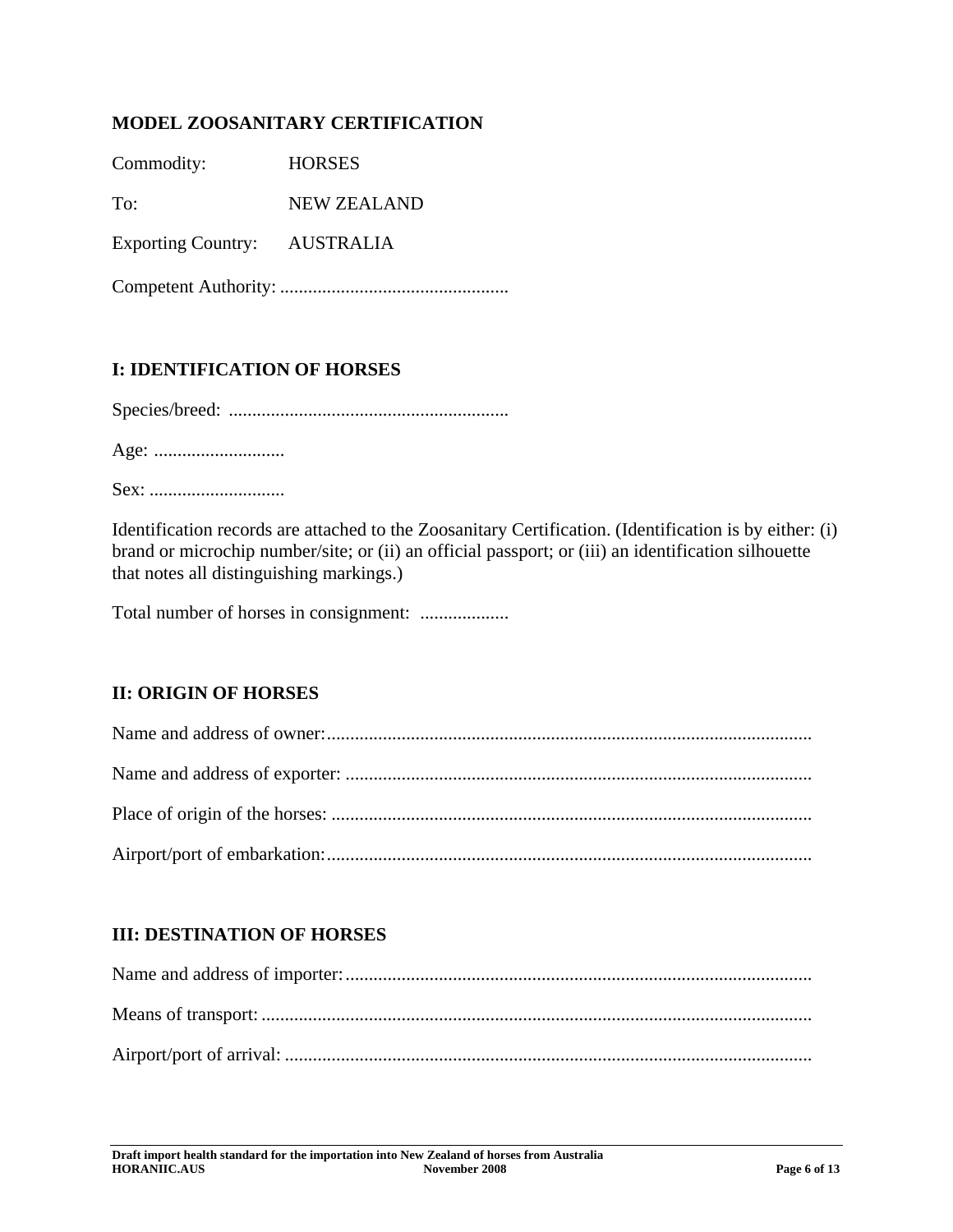### **MODEL ZOOSANITARY CERTIFICATION**

Commodity: HORSES

To: NEW ZEALAND

Exporting Country: AUSTRALIA

Competent Authority: .................................................

### **I: IDENTIFICATION OF HORSES**

Species/breed: ............................................................

Age: ............................

Sex: .............................

Identification records are attached to the Zoosanitary Certification. (Identification is by either: (i) brand or microchip number/site; or (ii) an official passport; or (iii) an identification silhouette that notes all distinguishing markings.)

Total number of horses in consignment: ...................

### **II: ORIGIN OF HORSES**

### **III: DESTINATION OF HORSES**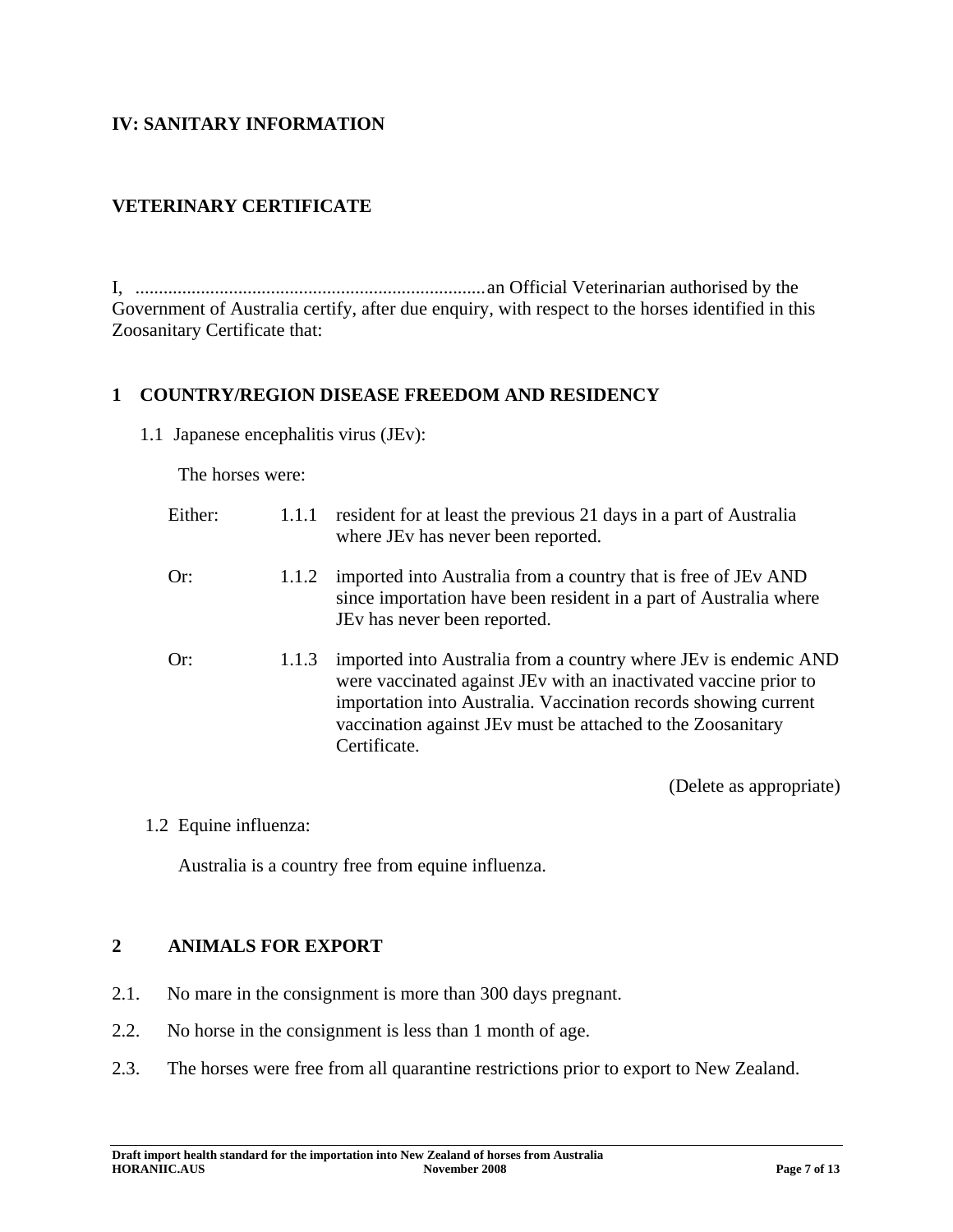### **IV: SANITARY INFORMATION**

### **VETERINARY CERTIFICATE**

I, ...........................................................................an Official Veterinarian authorised by the Government of Australia certify, after due enquiry, with respect to the horses identified in this Zoosanitary Certificate that:

#### **1 COUNTRY/REGION DISEASE FREEDOM AND RESIDENCY**

1.1 Japanese encephalitis virus (JEv):

The horses were:

| Either: | 1.1.1 | resident for at least the previous 21 days in a part of Australia<br>where JEv has never been reported.                                                                                                                                                                               |
|---------|-------|---------------------------------------------------------------------------------------------------------------------------------------------------------------------------------------------------------------------------------------------------------------------------------------|
| Or:     | 1.1.2 | imported into Australia from a country that is free of JEv AND<br>since importation have been resident in a part of Australia where<br>JEv has never been reported.                                                                                                                   |
| Or:     | 1.1.3 | imported into Australia from a country where JEv is endemic AND<br>were vaccinated against JEv with an inactivated vaccine prior to<br>importation into Australia. Vaccination records showing current<br>vaccination against JEv must be attached to the Zoosanitary<br>Certificate. |

(Delete as appropriate)

1.2 Equine influenza:

Australia is a country free from equine influenza.

#### **2 ANIMALS FOR EXPORT**

- 2.1. No mare in the consignment is more than 300 days pregnant.
- 2.2. No horse in the consignment is less than 1 month of age.
- 2.3. The horses were free from all quarantine restrictions prior to export to New Zealand.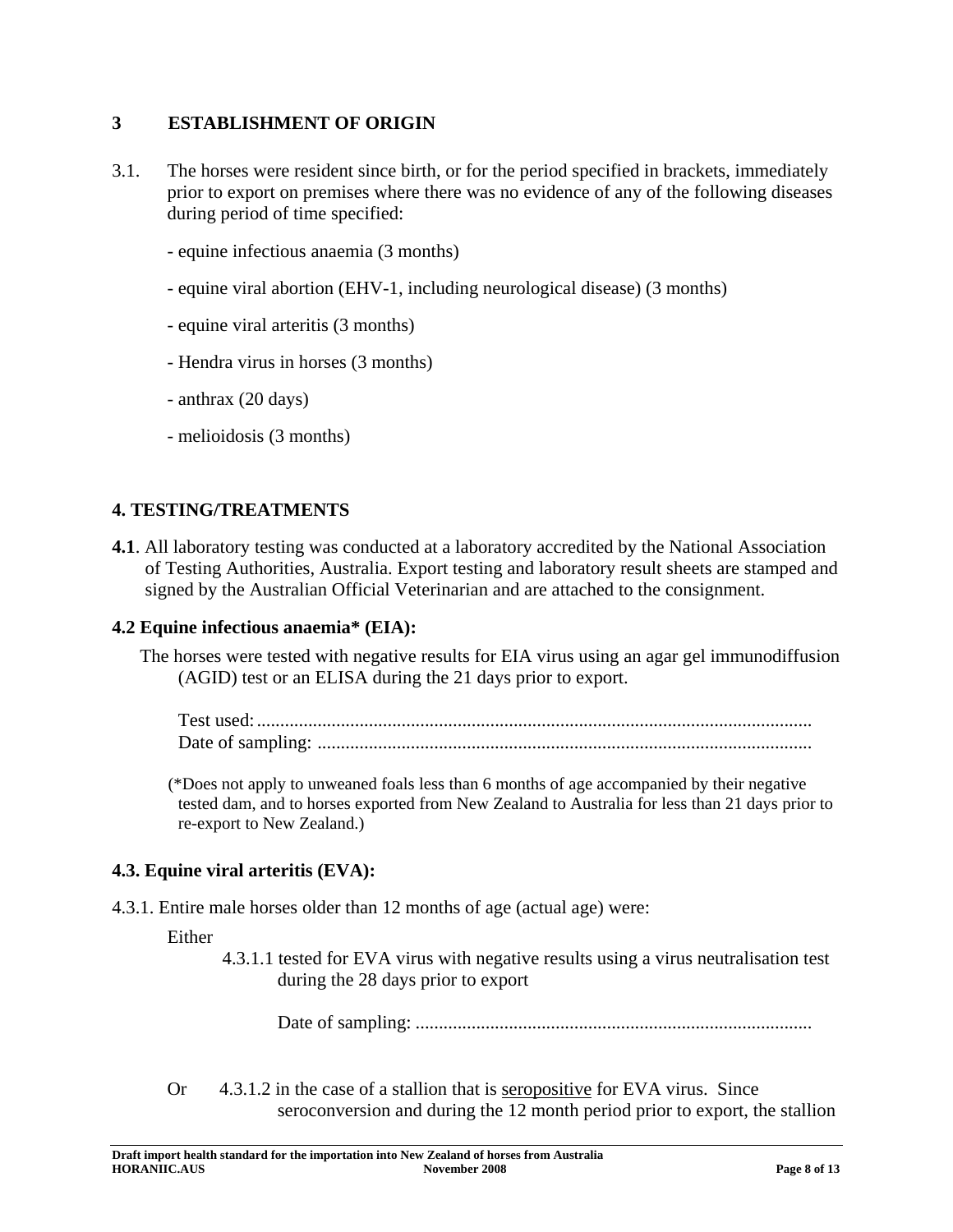### **3 ESTABLISHMENT OF ORIGIN**

- 3.1. The horses were resident since birth, or for the period specified in brackets, immediately prior to export on premises where there was no evidence of any of the following diseases during period of time specified:
	- equine infectious anaemia (3 months)
	- equine viral abortion (EHV-1, including neurological disease) (3 months)
	- equine viral arteritis (3 months)
	- Hendra virus in horses (3 months)
	- anthrax (20 days)
	- melioidosis (3 months)

### **4. TESTING/TREATMENTS**

**4.1**. All laboratory testing was conducted at a laboratory accredited by the National Association of Testing Authorities, Australia. Export testing and laboratory result sheets are stamped and signed by the Australian Official Veterinarian and are attached to the consignment.

#### **4.2 Equine infectious anaemia\* (EIA):**

The horses were tested with negative results for EIA virus using an agar gel immunodiffusion (AGID) test or an ELISA during the 21 days prior to export.

Test used:....................................................................................................................... Date of sampling: ..........................................................................................................

(\*Does not apply to unweaned foals less than 6 months of age accompanied by their negative tested dam, and to horses exported from New Zealand to Australia for less than 21 days prior to re-export to New Zealand.)

#### **4.3. Equine viral arteritis (EVA):**

4.3.1. Entire male horses older than 12 months of age (actual age) were:

#### Either

 4.3.1.1 tested for EVA virus with negative results using a virus neutralisation test during the 28 days prior to export

Date of sampling: .....................................................................................

Or 4.3.1.2 in the case of a stallion that is seropositive for EVA virus. Since seroconversion and during the 12 month period prior to export, the stallion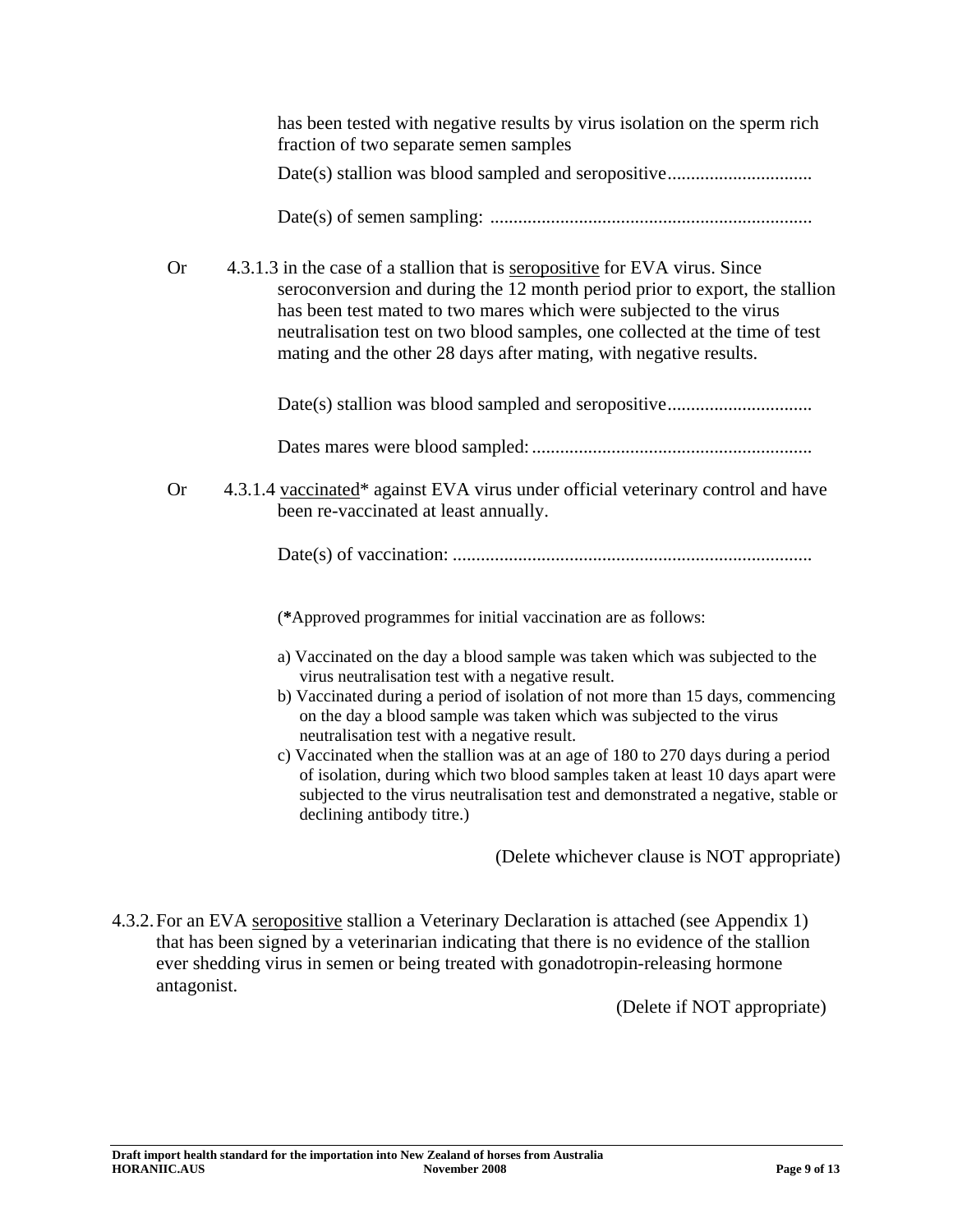|           | has been tested with negative results by virus isolation on the sperm rich<br>fraction of two separate semen samples                                                                                                                                                                                                                                                                 |  |  |
|-----------|--------------------------------------------------------------------------------------------------------------------------------------------------------------------------------------------------------------------------------------------------------------------------------------------------------------------------------------------------------------------------------------|--|--|
|           |                                                                                                                                                                                                                                                                                                                                                                                      |  |  |
|           |                                                                                                                                                                                                                                                                                                                                                                                      |  |  |
| <b>Or</b> | 4.3.1.3 in the case of a stallion that is seropositive for EVA virus. Since<br>seroconversion and during the 12 month period prior to export, the stallion<br>has been test mated to two mares which were subjected to the virus<br>neutralisation test on two blood samples, one collected at the time of test<br>mating and the other 28 days after mating, with negative results. |  |  |
|           |                                                                                                                                                                                                                                                                                                                                                                                      |  |  |
|           |                                                                                                                                                                                                                                                                                                                                                                                      |  |  |
| <b>Or</b> | 4.3.1.4 vaccinated* against EVA virus under official veterinary control and have<br>been re-vaccinated at least annually.                                                                                                                                                                                                                                                            |  |  |
|           |                                                                                                                                                                                                                                                                                                                                                                                      |  |  |
|           | (*Approved programmes for initial vaccination are as follows:                                                                                                                                                                                                                                                                                                                        |  |  |
|           | a) Vaccinated on the day a blood sample was taken which was subjected to the<br>virus neutralisation test with a negative result.<br>b) Vaccinated during a period of isolation of not more than 15 days, commencing                                                                                                                                                                 |  |  |
|           | on the day a blood sample was taken which was subjected to the virus<br>neutralisation test with a negative result.                                                                                                                                                                                                                                                                  |  |  |
|           | c) Vaccinated when the stallion was at an age of 180 to 270 days during a period<br>of isolation, during which two blood samples taken at least 10 days apart were<br>subjected to the virus neutralisation test and demonstrated a negative, stable or<br>declining antibody titre.)                                                                                                |  |  |
|           | (Delete whichever clause is NOT appropriate)                                                                                                                                                                                                                                                                                                                                         |  |  |

4.3.2. For an EVA seropositive stallion a Veterinary Declaration is attached (see Appendix 1) that has been signed by a veterinarian indicating that there is no evidence of the stallion ever shedding virus in semen or being treated with gonadotropin-releasing hormone antagonist.

(Delete if NOT appropriate)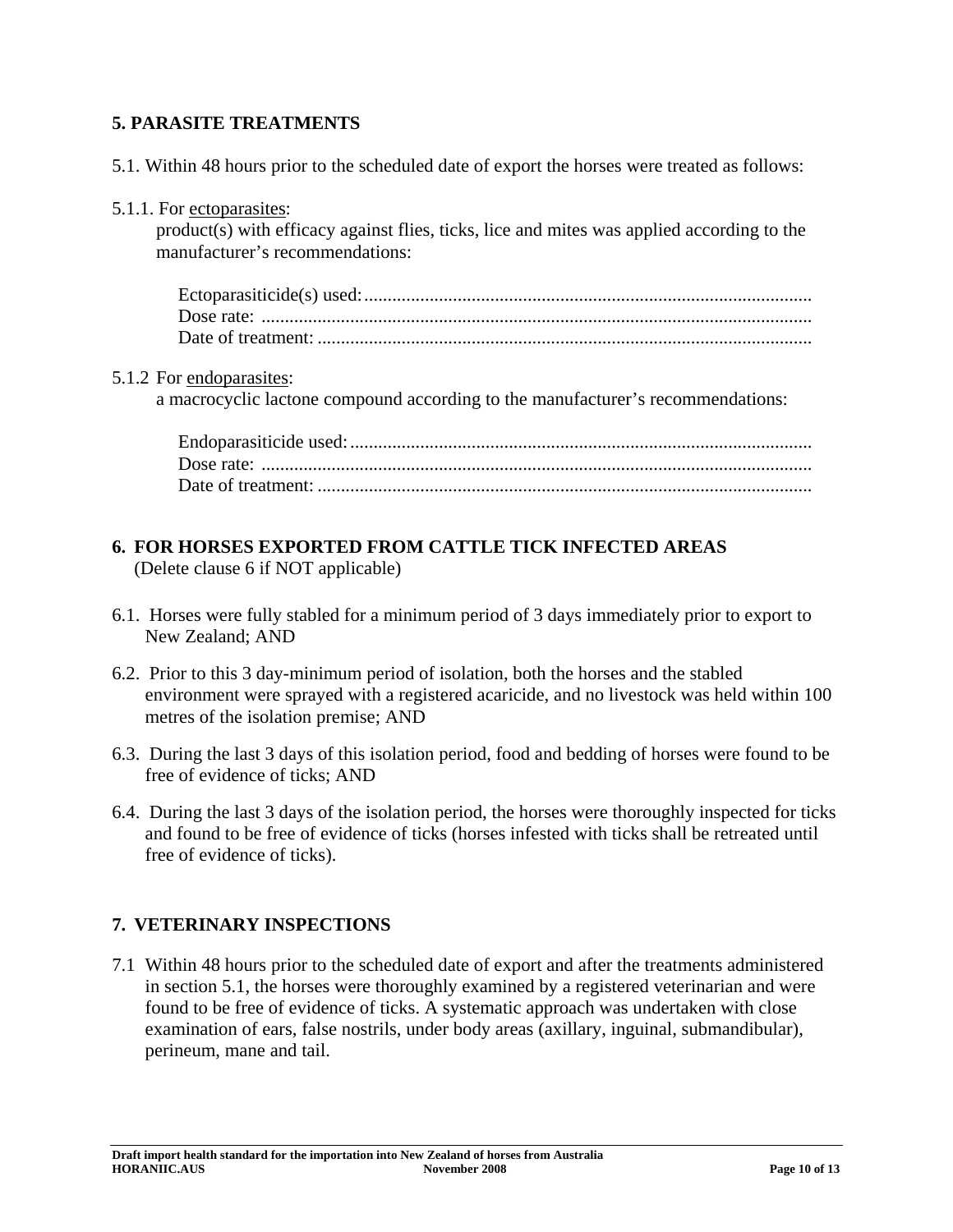### **5. PARASITE TREATMENTS**

- 5.1. Within 48 hours prior to the scheduled date of export the horses were treated as follows:
- 5.1.1. For ectoparasites:

product(s) with efficacy against flies, ticks, lice and mites was applied according to the manufacturer's recommendations:

#### 5.1.2 For endoparasites:

a macrocyclic lactone compound according to the manufacturer's recommendations:

#### **6. FOR HORSES EXPORTED FROM CATTLE TICK INFECTED AREAS**  (Delete clause 6 if NOT applicable)

6.1. Horses were fully stabled for a minimum period of 3 days immediately prior to export to New Zealand; AND

- 6.2. Prior to this 3 day-minimum period of isolation, both the horses and the stabled environment were sprayed with a registered acaricide, and no livestock was held within 100 metres of the isolation premise; AND
- 6.3. During the last 3 days of this isolation period, food and bedding of horses were found to be free of evidence of ticks; AND
- 6.4. During the last 3 days of the isolation period, the horses were thoroughly inspected for ticks and found to be free of evidence of ticks (horses infested with ticks shall be retreated until free of evidence of ticks).

### **7. VETERINARY INSPECTIONS**

7.1 Within 48 hours prior to the scheduled date of export and after the treatments administered in section 5.1, the horses were thoroughly examined by a registered veterinarian and were found to be free of evidence of ticks. A systematic approach was undertaken with close examination of ears, false nostrils, under body areas (axillary, inguinal, submandibular), perineum, mane and tail.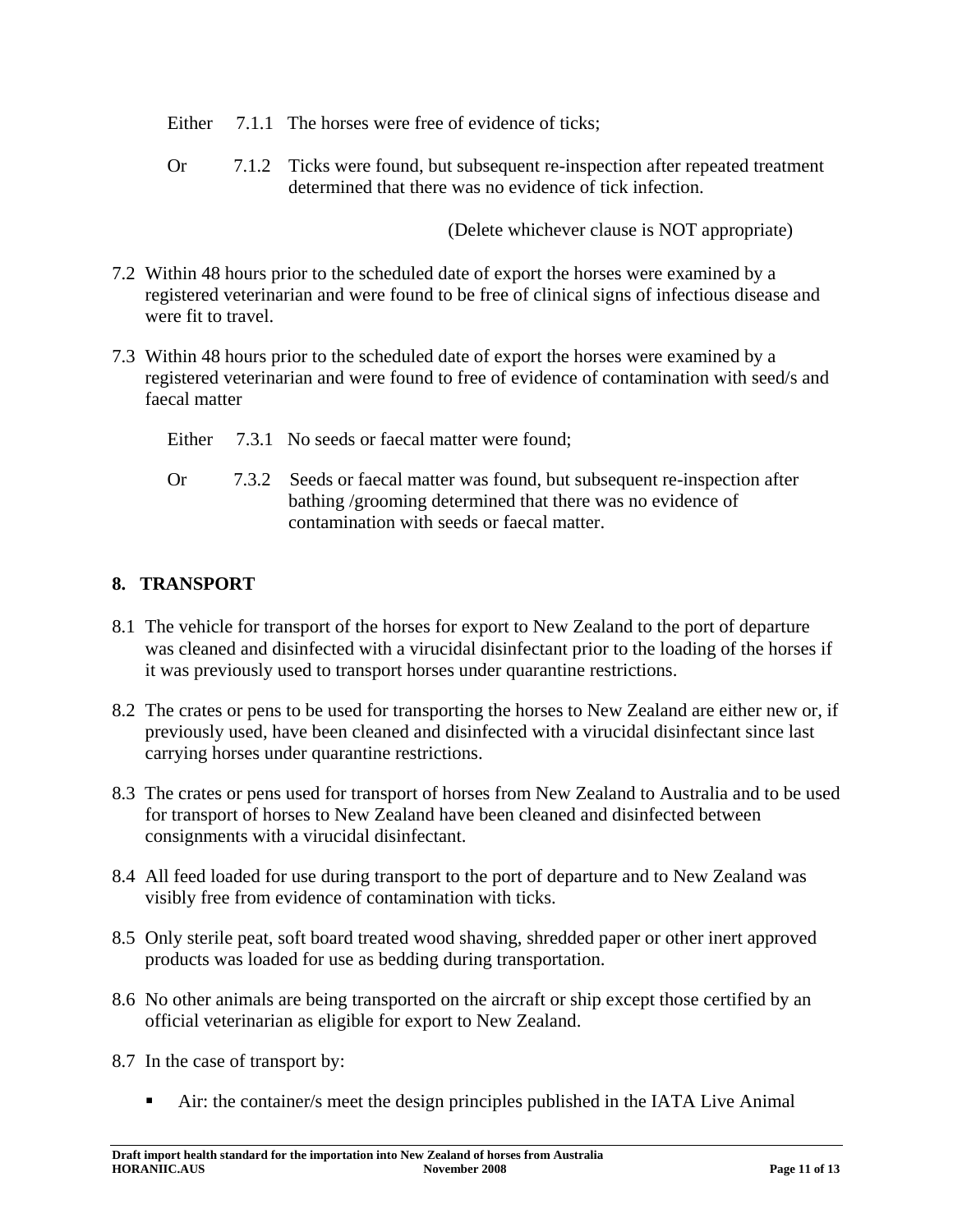Either 7.1.1 The horses were free of evidence of ticks;

 Or 7.1.2 Ticks were found, but subsequent re-inspection after repeated treatment determined that there was no evidence of tick infection.

(Delete whichever clause is NOT appropriate)

- 7.2 Within 48 hours prior to the scheduled date of export the horses were examined by a registered veterinarian and were found to be free of clinical signs of infectious disease and were fit to travel.
- 7.3 Within 48 hours prior to the scheduled date of export the horses were examined by a registered veterinarian and were found to free of evidence of contamination with seed/s and faecal matter
	- Either 7.3.1 No seeds or faecal matter were found:
	- Or 7.3.2 Seeds or faecal matter was found, but subsequent re-inspection after bathing /grooming determined that there was no evidence of contamination with seeds or faecal matter.

### **8. TRANSPORT**

- 8.1 The vehicle for transport of the horses for export to New Zealand to the port of departure was cleaned and disinfected with a virucidal disinfectant prior to the loading of the horses if it was previously used to transport horses under quarantine restrictions.
- 8.2 The crates or pens to be used for transporting the horses to New Zealand are either new or, if previously used, have been cleaned and disinfected with a virucidal disinfectant since last carrying horses under quarantine restrictions.
- 8.3 The crates or pens used for transport of horses from New Zealand to Australia and to be used for transport of horses to New Zealand have been cleaned and disinfected between consignments with a virucidal disinfectant.
- 8.4 All feed loaded for use during transport to the port of departure and to New Zealand was visibly free from evidence of contamination with ticks.
- 8.5 Only sterile peat, soft board treated wood shaving, shredded paper or other inert approved products was loaded for use as bedding during transportation.
- 8.6 No other animals are being transported on the aircraft or ship except those certified by an official veterinarian as eligible for export to New Zealand.
- 8.7 In the case of transport by:
	- Air: the container/s meet the design principles published in the IATA Live Animal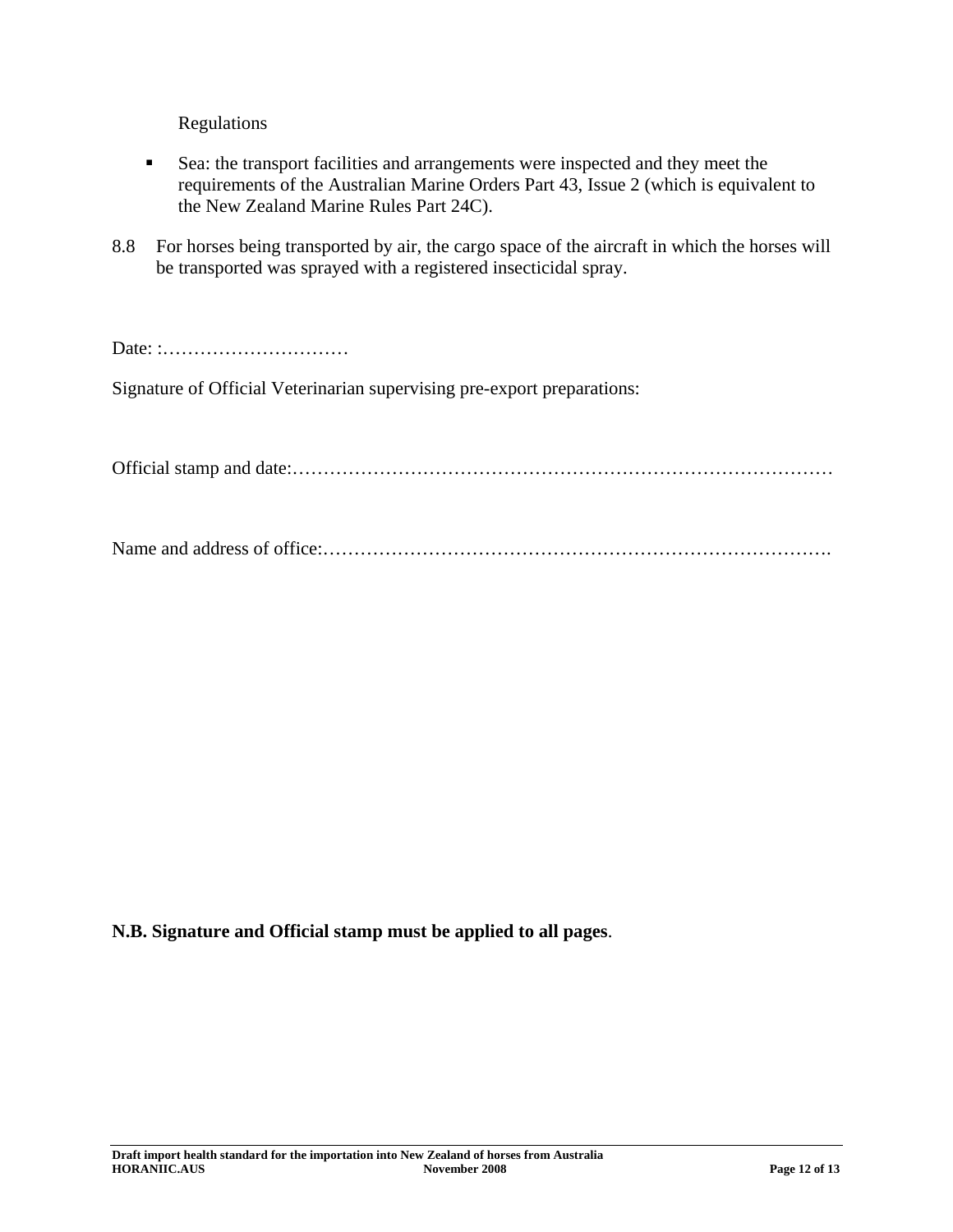Regulations

- Sea: the transport facilities and arrangements were inspected and they meet the requirements of the Australian Marine Orders Part 43, Issue 2 (which is equivalent to the New Zealand Marine Rules Part 24C).
- 8.8 For horses being transported by air, the cargo space of the aircraft in which the horses will be transported was sprayed with a registered insecticidal spray.

Date: :…………………………

Signature of Official Veterinarian supervising pre-export preparations:

Official stamp and date:……………………………………………………………………………

Name and address of office:……………………………………………………………………….

#### **N.B. Signature and Official stamp must be applied to all pages**.